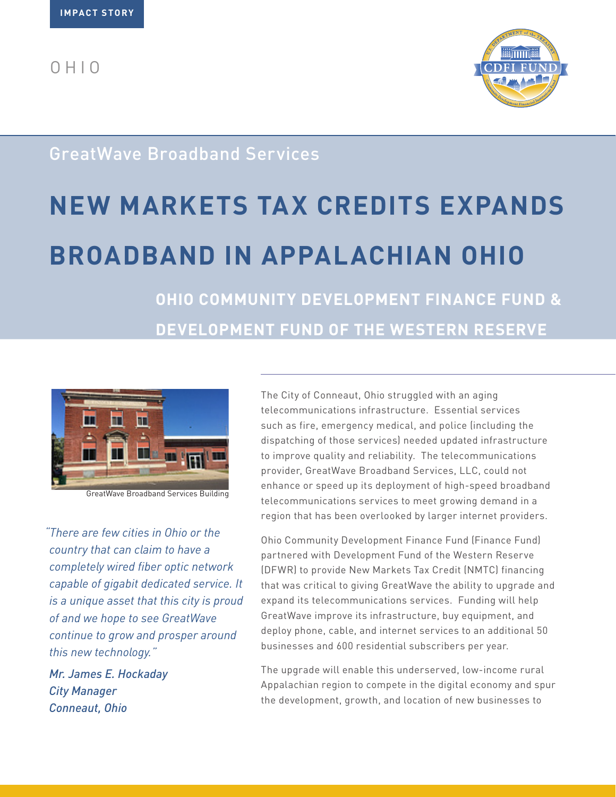$O<sub>H</sub> + O$ 



## GreatWave Broadband Services

# **NEW MARKETS TAX CREDITS EXPANDS BROADBAND IN APPALACHIAN OHIO**

**OHIO COMMUNITY DEVELOPMENT FINANCE FUND & DEVELOPMENT FUND OF THE WESTERN RESERVE**



GreatWave Broadband Services Building

*"There are few cities in Ohio or the country that can claim to have a completely wired fiber optic network capable of gigabit dedicated service. It is a unique asset that this city is proud of and we hope to see GreatWave continue to grow and prosper around this new technology."*

*Mr. James E. Hockaday City Manager Conneaut, Ohio*

The City of Conneaut, Ohio struggled with an aging telecommunications infrastructure. Essential services such as fire, emergency medical, and police (including the dispatching of those services) needed updated infrastructure to improve quality and reliability. The telecommunications provider, GreatWave Broadband Services, LLC, could not enhance or speed up its deployment of high-speed broadband telecommunications services to meet growing demand in a region that has been overlooked by larger internet providers.

Ohio Community Development Finance Fund (Finance Fund) partnered with Development Fund of the Western Reserve (DFWR) to provide New Markets Tax Credit (NMTC) financing that was critical to giving GreatWave the ability to upgrade and expand its telecommunications services. Funding will help GreatWave improve its infrastructure, buy equipment, and deploy phone, cable, and internet services to an additional 50 businesses and 600 residential subscribers per year.

The upgrade will enable this underserved, low-income rural Appalachian region to compete in the digital economy and spur the development, growth, and location of new businesses to